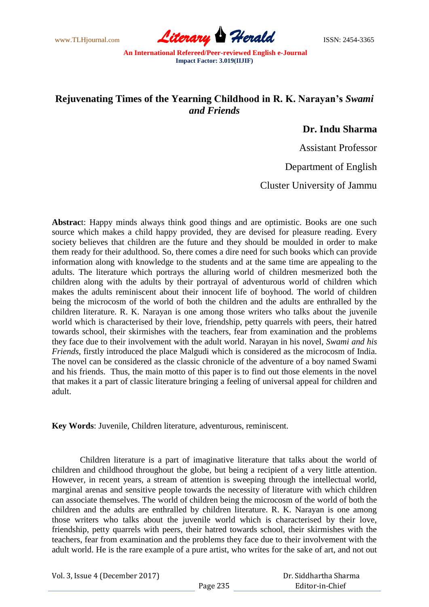www.TLHjournal.com **Literary Herald ISSN: 2454-3365** 

## **Rejuvenating Times of the Yearning Childhood in R. K. Narayan's** *Swami and Friends*

## **Dr. Indu Sharma**

Assistant Professor

Department of English

Cluster University of Jammu

**Abstrac**t: Happy minds always think good things and are optimistic. Books are one such source which makes a child happy provided, they are devised for pleasure reading. Every society believes that children are the future and they should be moulded in order to make them ready for their adulthood. So, there comes a dire need for such books which can provide information along with knowledge to the students and at the same time are appealing to the adults. The literature which portrays the alluring world of children mesmerized both the children along with the adults by their portrayal of adventurous world of children which makes the adults reminiscent about their innocent life of boyhood. The world of children being the microcosm of the world of both the children and the adults are enthralled by the children literature. R. K. Narayan is one among those writers who talks about the juvenile world which is characterised by their love, friendship, petty quarrels with peers, their hatred towards school, their skirmishes with the teachers, fear from examination and the problems they face due to their involvement with the adult world. Narayan in his novel, *Swami and his Friends*, firstly introduced the place Malgudi which is considered as the microcosm of India. The novel can be considered as the classic chronicle of the adventure of a boy named Swami and his friends. Thus, the main motto of this paper is to find out those elements in the novel that makes it a part of classic literature bringing a feeling of universal appeal for children and adult.

**Key Words**: Juvenile, Children literature, adventurous, reminiscent.

Children literature is a part of imaginative literature that talks about the world of children and childhood throughout the globe, but being a recipient of a very little attention. However, in recent years, a stream of attention is sweeping through the intellectual world, marginal arenas and sensitive people towards the necessity of literature with which children can associate themselves. The world of children being the microcosm of the world of both the children and the adults are enthralled by children literature. R. K. Narayan is one among those writers who talks about the juvenile world which is characterised by their love, friendship, petty quarrels with peers, their hatred towards school, their skirmishes with the teachers, fear from examination and the problems they face due to their involvement with the adult world. He is the rare example of a pure artist, who writes for the sake of art, and not out

Vol. 3, Issue 4 (December 2017)

 Dr. Siddhartha Sharma Editor-in-Chief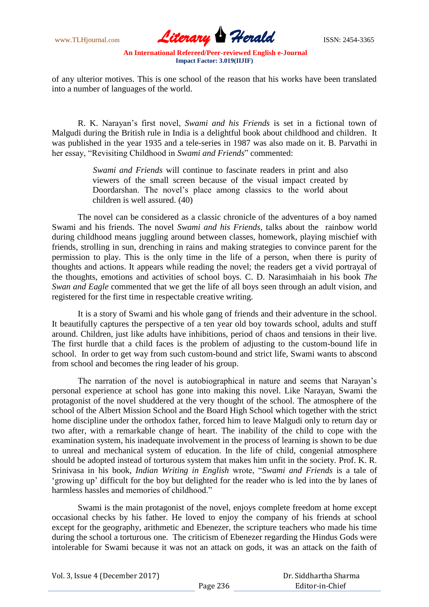www.TLHjournal.com **Literary Herald Herald** ISSN: 2454-3365

of any ulterior motives. This is one school of the reason that his works have been translated into a number of languages of the world.

R. K. Narayan"s first novel, *Swami and his Friends* is set in a fictional town of Malgudi during the British rule in India is a delightful book about childhood and children. It was published in the year 1935 and a tele-series in 1987 was also made on it. B. Parvathi in her essay, "Revisiting Childhood in *Swami and Friends*" commented:

> *Swami and Friends* will continue to fascinate readers in print and also viewers of the small screen because of the visual impact created by Doordarshan. The novel"s place among classics to the world about children is well assured. (40)

The novel can be considered as a classic chronicle of the adventures of a boy named Swami and his friends. The novel *Swami and his Friends*, talks about the rainbow world during childhood means juggling around between classes, homework, playing mischief with friends, strolling in sun, drenching in rains and making strategies to convince parent for the permission to play. This is the only time in the life of a person, when there is purity of thoughts and actions. It appears while reading the novel; the readers get a vivid portrayal of the thoughts, emotions and activities of school boys. C. D. Narasimhaiah in his book *The Swan and Eagle* commented that we get the life of all boys seen through an adult vision, and registered for the first time in respectable creative writing.

It is a story of Swami and his whole gang of friends and their adventure in the school. It beautifully captures the perspective of a ten year old boy towards school, adults and stuff around. Children, just like adults have inhibitions, period of chaos and tensions in their live. The first hurdle that a child faces is the problem of adjusting to the custom-bound life in school. In order to get way from such custom-bound and strict life, Swami wants to abscond from school and becomes the ring leader of his group.

The narration of the novel is autobiographical in nature and seems that Narayan"s personal experience at school has gone into making this novel. Like Narayan, Swami the protagonist of the novel shuddered at the very thought of the school. The atmosphere of the school of the Albert Mission School and the Board High School which together with the strict home discipline under the orthodox father, forced him to leave Malgudi only to return day or two after, with a remarkable change of heart. The inability of the child to cope with the examination system, his inadequate involvement in the process of learning is shown to be due to unreal and mechanical system of education. In the life of child, congenial atmosphere should be adopted instead of torturous system that makes him unfit in the society. Prof. K. R. Srinivasa in his book, *Indian Writing in English* wrote, "*Swami and Friends* is a tale of "growing up" difficult for the boy but delighted for the reader who is led into the by lanes of harmless hassles and memories of childhood."

Swami is the main protagonist of the novel, enjoys complete freedom at home except occasional checks by his father. He loved to enjoy the company of his friends at school except for the geography, arithmetic and Ebenezer, the scripture teachers who made his time during the school a torturous one. The criticism of Ebenezer regarding the Hindus Gods were intolerable for Swami because it was not an attack on gods, it was an attack on the faith of

|  | Vol. 3, Issue 4 (December 2017) |  |
|--|---------------------------------|--|
|  |                                 |  |

 Dr. Siddhartha Sharma Editor-in-Chief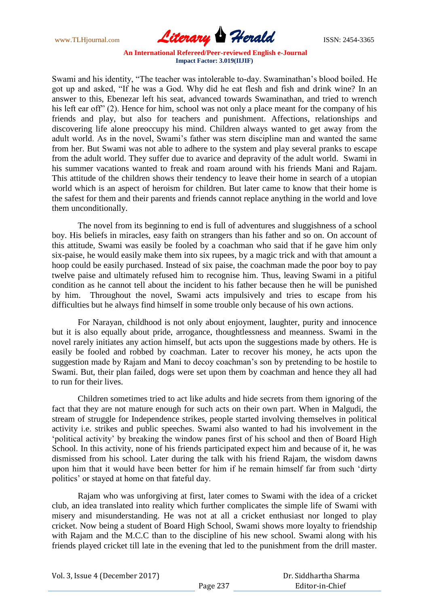www.TLHjournal.com **Literary Herald ISSN: 2454-3365** 

Swami and his identity, "The teacher was intolerable to-day. Swaminathan"s blood boiled. He got up and asked, "If he was a God. Why did he eat flesh and fish and drink wine? In an answer to this, Ebenezar left his seat, advanced towards Swaminathan, and tried to wrench his left ear off" (2). Hence for him, school was not only a place meant for the company of his friends and play, but also for teachers and punishment. Affections, relationships and discovering life alone preoccupy his mind. Children always wanted to get away from the adult world. As in the novel, Swami"s father was stern discipline man and wanted the same from her. But Swami was not able to adhere to the system and play several pranks to escape from the adult world. They suffer due to avarice and depravity of the adult world. Swami in his summer vacations wanted to freak and roam around with his friends Mani and Rajam. This attitude of the children shows their tendency to leave their home in search of a utopian world which is an aspect of heroism for children. But later came to know that their home is the safest for them and their parents and friends cannot replace anything in the world and love them unconditionally.

The novel from its beginning to end is full of adventures and sluggishness of a school boy. His beliefs in miracles, easy faith on strangers than his father and so on. On account of this attitude, Swami was easily be fooled by a coachman who said that if he gave him only six-paise, he would easily make them into six rupees, by a magic trick and with that amount a hoop could be easily purchased. Instead of six paise, the coachman made the poor boy to pay twelve paise and ultimately refused him to recognise him. Thus, leaving Swami in a pitiful condition as he cannot tell about the incident to his father because then he will be punished by him. Throughout the novel, Swami acts impulsively and tries to escape from his difficulties but he always find himself in some trouble only because of his own actions.

For Narayan, childhood is not only about enjoyment, laughter, purity and innocence but it is also equally about pride, arrogance, thoughtlessness and meanness. Swami in the novel rarely initiates any action himself, but acts upon the suggestions made by others. He is easily be fooled and robbed by coachman. Later to recover his money, he acts upon the suggestion made by Rajam and Mani to decoy coachman"s son by pretending to be hostile to Swami. But, their plan failed, dogs were set upon them by coachman and hence they all had to run for their lives.

Children sometimes tried to act like adults and hide secrets from them ignoring of the fact that they are not mature enough for such acts on their own part. When in Malgudi, the stream of struggle for Independence strikes, people started involving themselves in political activity i.e. strikes and public speeches. Swami also wanted to had his involvement in the "political activity" by breaking the window panes first of his school and then of Board High School. In this activity, none of his friends participated expect him and because of it, he was dismissed from his school. Later during the talk with his friend Rajam, the wisdom dawns upon him that it would have been better for him if he remain himself far from such "dirty politics" or stayed at home on that fateful day.

Rajam who was unforgiving at first, later comes to Swami with the idea of a cricket club, an idea translated into reality which further complicates the simple life of Swami with misery and misunderstanding. He was not at all a cricket enthusiast nor longed to play cricket. Now being a student of Board High School, Swami shows more loyalty to friendship with Rajam and the M.C.C than to the discipline of his new school. Swami along with his friends played cricket till late in the evening that led to the punishment from the drill master.